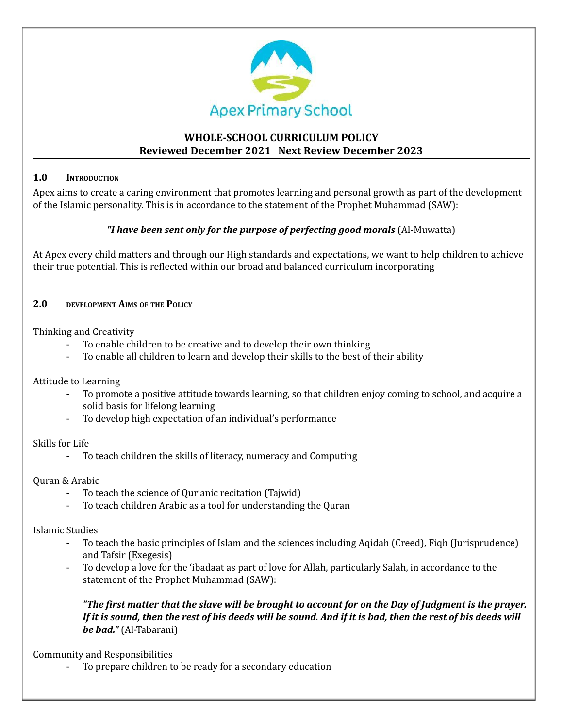

# **WHOLE-SCHOOL CURRICULUM POLICY Reviewed December 2021 Next Review December 2023**

### **1.0 INTRODUCTION**

Apex aims to create a caring environment that promotes learning and personal growth as part of the development of the Islamic personality. This is in accordance to the statement of the Prophet Muhammad (SAW):

## *"I have been sent only for the purpose of perfecting good morals* (Al-Muwatta)

At Apex every child matters and through our High standards and expectations, we want to help children to achieve their true potential. This is reflected within our broad and balanced curriculum incorporating

### **2.0 DEVELOPMENT AIMS OF THE POLICY**

Thinking and Creativity

- To enable children to be creative and to develop their own thinking
- To enable all children to learn and develop their skills to the best of their ability

Attitude to Learning

- To promote a positive attitude towards learning, so that children enjoy coming to school, and acquire a solid basis for lifelong learning
- To develop high expectation of an individual's performance

Skills for Life

- To teach children the skills of literacy, numeracy and Computing

# Quran & Arabic

- To teach the science of Qur'anic recitation (Tajwid)
- To teach children Arabic as a tool for understanding the Quran

Islamic Studies

- To teach the basic principles of Islam and the sciences including Aqidah (Creed), Fiqh (Jurisprudence) and Tafsir (Exegesis)
- To develop a love for the 'ibadaat as part of love for Allah, particularly Salah, in accordance to the statement of the Prophet Muhammad (SAW):

"The first matter that the slave will be brought to account for on the Day of Judgment is the prayer. If it is sound, then the rest of his deeds will be sound. And if it is bad, then the rest of his deeds will *be bad."* (Al-Tabarani)

Community and Responsibilities

To prepare children to be ready for a secondary education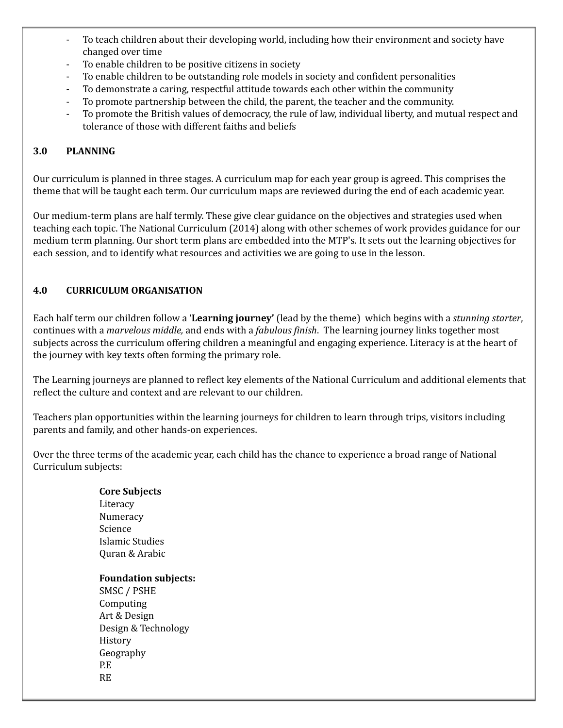- To teach children about their developing world, including how their environment and society have changed over time
- To enable children to be positive citizens in society
- To enable children to be outstanding role models in society and confident personalities
- To demonstrate a caring, respectful attitude towards each other within the community
- To promote partnership between the child, the parent, the teacher and the community.
- To promote the British values of democracy, the rule of law, individual liberty, and mutual respect and tolerance of those with different faiths and beliefs

### **3.0 PLANNING**

Our curriculum is planned in three stages. A curriculum map for each year group is agreed. This comprises the theme that will be taught each term. Our curriculum maps are reviewed during the end of each academic year.

Our medium-term plans are half termly. These give clear guidance on the objectives and strategies used when teaching each topic. The National Curriculum (2014) along with other schemes of work provides guidance for our medium term planning. Our short term plans are embedded into the MTP's. It sets out the learning objectives for each session, and to identify what resources and activities we are going to use in the lesson.

### **4.0 CURRICULUM ORGANISATION**

Each half term our children follow a '**Learning journey'** (lead by the theme) which begins with a *stunning starter*, continues with a *marvelous middle,* and ends with a *fabulous finish*. The learning journey links together most subjects across the curriculum offering children a meaningful and engaging experience. Literacy is at the heart of the journey with key texts often forming the primary role.

The Learning journeys are planned to reflect key elements of the National Curriculum and additional elements that reflect the culture and context and are relevant to our children.

Teachers plan opportunities within the learning journeys for children to learn through trips, visitors including parents and family, and other hands-on experiences.

Over the three terms of the academic year, each child has the chance to experience a broad range of National Curriculum subjects:

#### **Core Subjects**

**Literacy** Numeracy Science Islamic Studies Quran & Arabic

#### **Foundation subjects:**

SMSC / PSHE Computing Art & Design Design & Technology History Geography P.E RE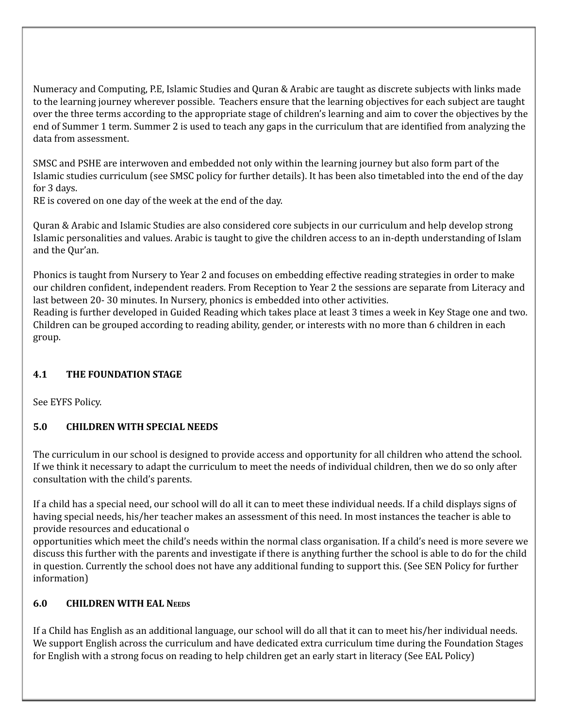Numeracy and Computing, P.E, Islamic Studies and Quran & Arabic are taught as discrete subjects with links made to the learning journey wherever possible. Teachers ensure that the learning objectives for each subject are taught over the three terms according to the appropriate stage of children's learning and aim to cover the objectives by the end of Summer 1 term. Summer 2 is used to teach any gaps in the curriculum that are identified from analyzing the data from assessment.

SMSC and PSHE are interwoven and embedded not only within the learning journey but also form part of the Islamic studies curriculum (see SMSC policy for further details). It has been also timetabled into the end of the day for 3 days.

RE is covered on one day of the week at the end of the day.

Quran & Arabic and Islamic Studies are also considered core subjects in our curriculum and help develop strong Islamic personalities and values. Arabic is taught to give the children access to an in-depth understanding of Islam and the Qur'an.

Phonics is taught from Nursery to Year 2 and focuses on embedding effective reading strategies in order to make our children confident, independent readers. From Reception to Year 2 the sessions are separate from Literacy and last between 20- 30 minutes. In Nursery, phonics is embedded into other activities.

Reading is further developed in Guided Reading which takes place at least 3 times a week in Key Stage one and two. Children can be grouped according to reading ability, gender, or interests with no more than 6 children in each group.

# **4.1 THE FOUNDATION STAGE**

See EYFS Policy.

# **5.0 CHILDREN WITH SPECIAL NEEDS**

The curriculum in our school is designed to provide access and opportunity for all children who attend the school. If we think it necessary to adapt the curriculum to meet the needs of individual children, then we do so only after consultation with the child's parents.

If a child has a special need, our school will do all it can to meet these individual needs. If a child displays signs of having special needs, his/her teacher makes an assessment of this need. In most instances the teacher is able to provide resources and educational o

opportunities which meet the child's needs within the normal class organisation. If a child's need is more severe we discuss this further with the parents and investigate if there is anything further the school is able to do for the child in question. Currently the school does not have any additional funding to support this. (See SEN Policy for further information)

# **6.0 CHILDREN WITH EAL NEEDS**

If a Child has English as an additional language, our school will do all that it can to meet his/her individual needs. We support English across the curriculum and have dedicated extra curriculum time during the Foundation Stages for English with a strong focus on reading to help children get an early start in literacy (See EAL Policy)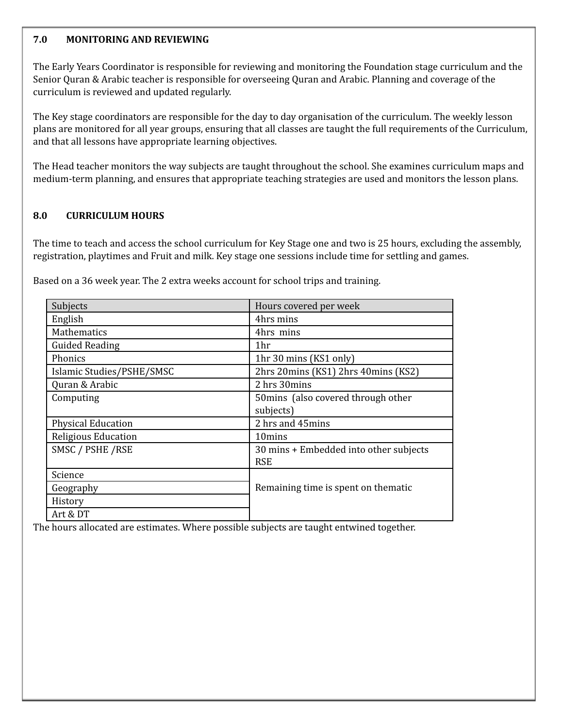#### **7.0 MONITORING AND REVIEWING**

The Early Years Coordinator is responsible for reviewing and monitoring the Foundation stage curriculum and the Senior Quran & Arabic teacher is responsible for overseeing Quran and Arabic. Planning and coverage of the curriculum is reviewed and updated regularly.

The Key stage coordinators are responsible for the day to day organisation of the curriculum. The weekly lesson plans are monitored for all year groups, ensuring that all classes are taught the full requirements of the Curriculum, and that all lessons have appropriate learning objectives.

The Head teacher monitors the way subjects are taught throughout the school. She examines curriculum maps and medium-term planning, and ensures that appropriate teaching strategies are used and monitors the lesson plans.

#### **8.0 CURRICULUM HOURS**

The time to teach and access the school curriculum for Key Stage one and two is 25 hours, excluding the assembly, registration, playtimes and Fruit and milk. Key stage one sessions include time for settling and games.

| Based on a 36 week year. The 2 extra weeks account for school trips and training. |  |  |
|-----------------------------------------------------------------------------------|--|--|
|                                                                                   |  |  |

| Subjects                  | Hours covered per week                 |  |
|---------------------------|----------------------------------------|--|
| English                   | 4hrs mins                              |  |
| <b>Mathematics</b>        | 4hrs mins                              |  |
| <b>Guided Reading</b>     | 1hr                                    |  |
| Phonics                   | 1hr 30 mins (KS1 only)                 |  |
| Islamic Studies/PSHE/SMSC | 2hrs 20mins (KS1) 2hrs 40mins (KS2)    |  |
| Quran & Arabic            | 2 hrs 30mins                           |  |
| Computing                 | 50 mins (also covered through other    |  |
|                           | subjects)                              |  |
| <b>Physical Education</b> | 2 hrs and 45mins                       |  |
| Religious Education       | 10mins                                 |  |
| SMSC / PSHE / RSE         | 30 mins + Embedded into other subjects |  |
|                           | <b>RSE</b>                             |  |
| Science                   |                                        |  |
| Geography                 | Remaining time is spent on thematic    |  |
| History                   |                                        |  |
| Art & DT                  |                                        |  |

The hours allocated are estimates. Where possible subjects are taught entwined together.